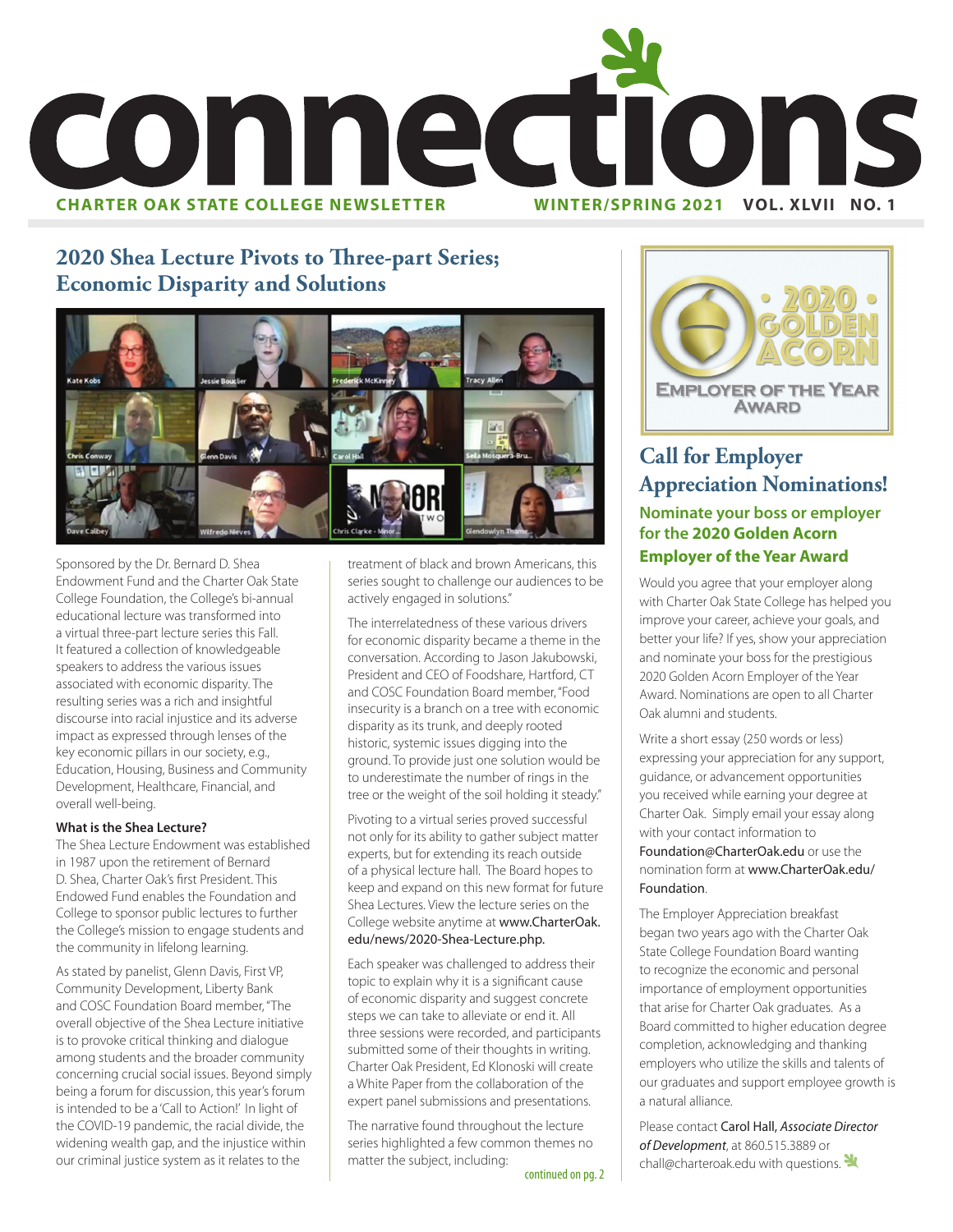

## **2020 Shea Lecture Pivots to Three-part Series; Economic Disparity and Solutions**



Sponsored by the Dr. Bernard D. Shea Endowment Fund and the Charter Oak State College Foundation, the College's bi-annual educational lecture was transformed into a virtual three-part lecture series this Fall. It featured a collection of knowledgeable speakers to address the various issues associated with economic disparity. The resulting series was a rich and insightful discourse into racial injustice and its adverse impact as expressed through lenses of the key economic pillars in our society, e.g., Education, Housing, Business and Community Development, Healthcare, Financial, and overall well-being.

## **What is the Shea Lecture?**

The Shea Lecture Endowment was established in 1987 upon the retirement of Bernard D. Shea, Charter Oak's first President. This Endowed Fund enables the Foundation and College to sponsor public lectures to further the College's mission to engage students and the community in lifelong learning.

As stated by panelist, Glenn Davis, First VP, Community Development, Liberty Bank and COSC Foundation Board member, "The overall objective of the Shea Lecture initiative is to provoke critical thinking and dialogue among students and the broader community concerning crucial social issues. Beyond simply being a forum for discussion, this year's forum is intended to be a 'Call to Action!' In light of the COVID-19 pandemic, the racial divide, the widening wealth gap, and the injustice within our criminal justice system as it relates to the

treatment of black and brown Americans, this series sought to challenge our audiences to be actively engaged in solutions."

The interrelatedness of these various drivers for economic disparity became a theme in the conversation. According to Jason Jakubowski, President and CEO of Foodshare, Hartford, CT and COSC Foundation Board member, "Food insecurity is a branch on a tree with economic disparity as its trunk, and deeply rooted historic, systemic issues digging into the ground. To provide just one solution would be to underestimate the number of rings in the tree or the weight of the soil holding it steady."

Pivoting to a virtual series proved successful not only for its ability to gather subject matter experts, but for extending its reach outside of a physical lecture hall. The Board hopes to keep and expand on this new format for future Shea Lectures. View the lecture series on the College website anytime at www.CharterOak. edu/news/2020-Shea-Lecture.php.

Each speaker was challenged to address their topic to explain why it is a significant cause of economic disparity and suggest concrete steps we can take to alleviate or end it. All three sessions were recorded, and participants submitted some of their thoughts in writing. Charter Oak President, Ed Klonoski will create a White Paper from the collaboration of the expert panel submissions and presentations.

The narrative found throughout the lecture series highlighted a few common themes no matter the subject, including:



## **Call for Employer Appreciation Nominations! Nominate your boss or employer for the 2020 Golden Acorn Employer of the Year Award**

Would you agree that your employer along with Charter Oak State College has helped you improve your career, achieve your goals, and better your life? If yes, show your appreciation and nominate your boss for the prestigious 2020 Golden Acorn Employer of the Year Award. Nominations are open to all Charter Oak alumni and students.

Write a short essay (250 words or less) expressing your appreciation for any support, guidance, or advancement opportunities you received while earning your degree at Charter Oak. Simply email your essay along with your contact information to Foundation@CharterOak.edu or use the nomination form at www.CharterOak.edu/ Foundation.

The Employer Appreciation breakfast began two years ago with the Charter Oak State College Foundation Board wanting to recognize the economic and personal importance of employment opportunities that arise for Charter Oak graduates. As a Board committed to higher education degree completion, acknowledging and thanking employers who utilize the skills and talents of our graduates and support employee growth is a natural alliance.

Please contact Carol Hall, *Associate Director of Development*, at 860.515.3889 or chall@charteroak.edu with questions.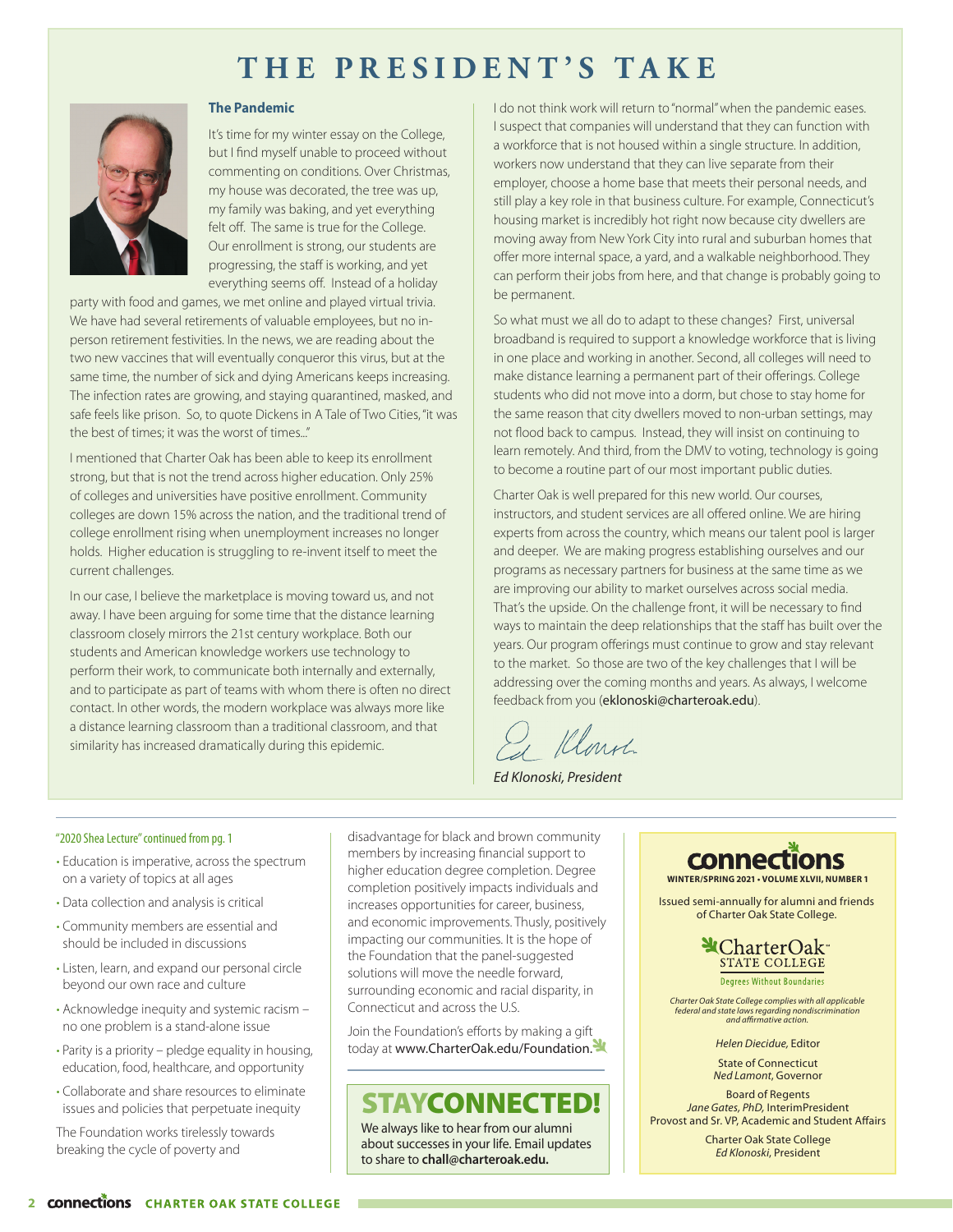# **THE PRESIDENT'S TAKE**

## **The Pandemic**



It's time for my winter essay on the College, but I find myself unable to proceed without commenting on conditions. Over Christmas, my house was decorated, the tree was up, my family was baking, and yet everything felt off. The same is true for the College. Our enrollment is strong, our students are progressing, the staff is working, and yet everything seems off. Instead of a holiday

party with food and games, we met online and played virtual trivia. We have had several retirements of valuable employees, but no inperson retirement festivities. In the news, we are reading about the two new vaccines that will eventually conqueror this virus, but at the same time, the number of sick and dying Americans keeps increasing. The infection rates are growing, and staying quarantined, masked, and safe feels like prison. So, to quote Dickens in A Tale of Two Cities, "it was the best of times; it was the worst of times."

I mentioned that Charter Oak has been able to keep its enrollment strong, but that is not the trend across higher education. Only 25% of colleges and universities have positive enrollment. Community colleges are down 15% across the nation, and the traditional trend of college enrollment rising when unemployment increases no longer holds. Higher education is struggling to re-invent itself to meet the current challenges.

In our case, I believe the marketplace is moving toward us, and not away. I have been arguing for some time that the distance learning classroom closely mirrors the 21st century workplace. Both our students and American knowledge workers use technology to perform their work, to communicate both internally and externally, and to participate as part of teams with whom there is often no direct contact. In other words, the modern workplace was always more like a distance learning classroom than a traditional classroom, and that similarity has increased dramatically during this epidemic.

I do not think work will return to "normal" when the pandemic eases. I suspect that companies will understand that they can function with a workforce that is not housed within a single structure. In addition, workers now understand that they can live separate from their employer, choose a home base that meets their personal needs, and still play a key role in that business culture. For example, Connecticut's housing market is incredibly hot right now because city dwellers are moving away from New York City into rural and suburban homes that offer more internal space, a yard, and a walkable neighborhood. They can perform their jobs from here, and that change is probably going to be permanent.

So what must we all do to adapt to these changes? First, universal broadband is required to support a knowledge workforce that is living in one place and working in another. Second, all colleges will need to make distance learning a permanent part of their offerings. College students who did not move into a dorm, but chose to stay home for the same reason that city dwellers moved to non-urban settings, may not flood back to campus. Instead, they will insist on continuing to learn remotely. And third, from the DMV to voting, technology is going to become a routine part of our most important public duties.

Charter Oak is well prepared for this new world. Our courses, instructors, and student services are all offered online. We are hiring experts from across the country, which means our talent pool is larger and deeper. We are making progress establishing ourselves and our programs as necessary partners for business at the same time as we are improving our ability to market ourselves across social media. That's the upside. On the challenge front, it will be necessary to find ways to maintain the deep relationships that the staff has built over the years. Our program offerings must continue to grow and stay relevant to the market. So those are two of the key challenges that I will be addressing over the coming months and years. As always, I welcome feedback from you (eklonoski@charteroak.edu).

Klarsh

*Ed Klonoski, President*

### "2020 Shea Lecture" continued from pg. 1

- Education is imperative, across the spectrum on a variety of topics at all ages
- Data collection and analysis is critical
- Community members are essential and should be included in discussions
- Listen, learn, and expand our personal circle beyond our own race and culture
- Acknowledge inequity and systemic racism no one problem is a stand-alone issue
- Parity is a priority pledge equality in housing, education, food, healthcare, and opportunity
- Collaborate and share resources to eliminate issues and policies that perpetuate inequity

The Foundation works tirelessly towards breaking the cycle of poverty and

disadvantage for black and brown community members by increasing financial support to higher education degree completion. Degree completion positively impacts individuals and increases opportunities for career, business, and economic improvements. Thusly, positively impacting our communities. It is the hope of the Foundation that the panel-suggested solutions will move the needle forward, surrounding economic and racial disparity, in Connecticut and across the U.S.

Join the Foundation's efforts by making a gift today at www.CharterOak.edu/Foundation.

# STAYCONNECTED!

We always like to hear from our alumni about successes in your life. Email updates to share to **chall@charteroak.edu.** 

# **connections**

**WINTER/SPRING 2021 • VOLUME XLVII, NUMBER 1**

Issued semi-annually for alumni and friends of Charter Oak State College.



**Degrees Without Boundaries** 

*Charter Oak State College complies with all applicable federal and state laws regarding nondiscrimination and affirmative action.*

*Helen Diecidue,* Editor

State of Connecticut *Ned Lamont*, Governor

Board of Regents *Jane Gates, PhD,* InterimPresident Provost and Sr. VP, Academic and Student Affairs

> Charter Oak State College *Ed Klonoski*, President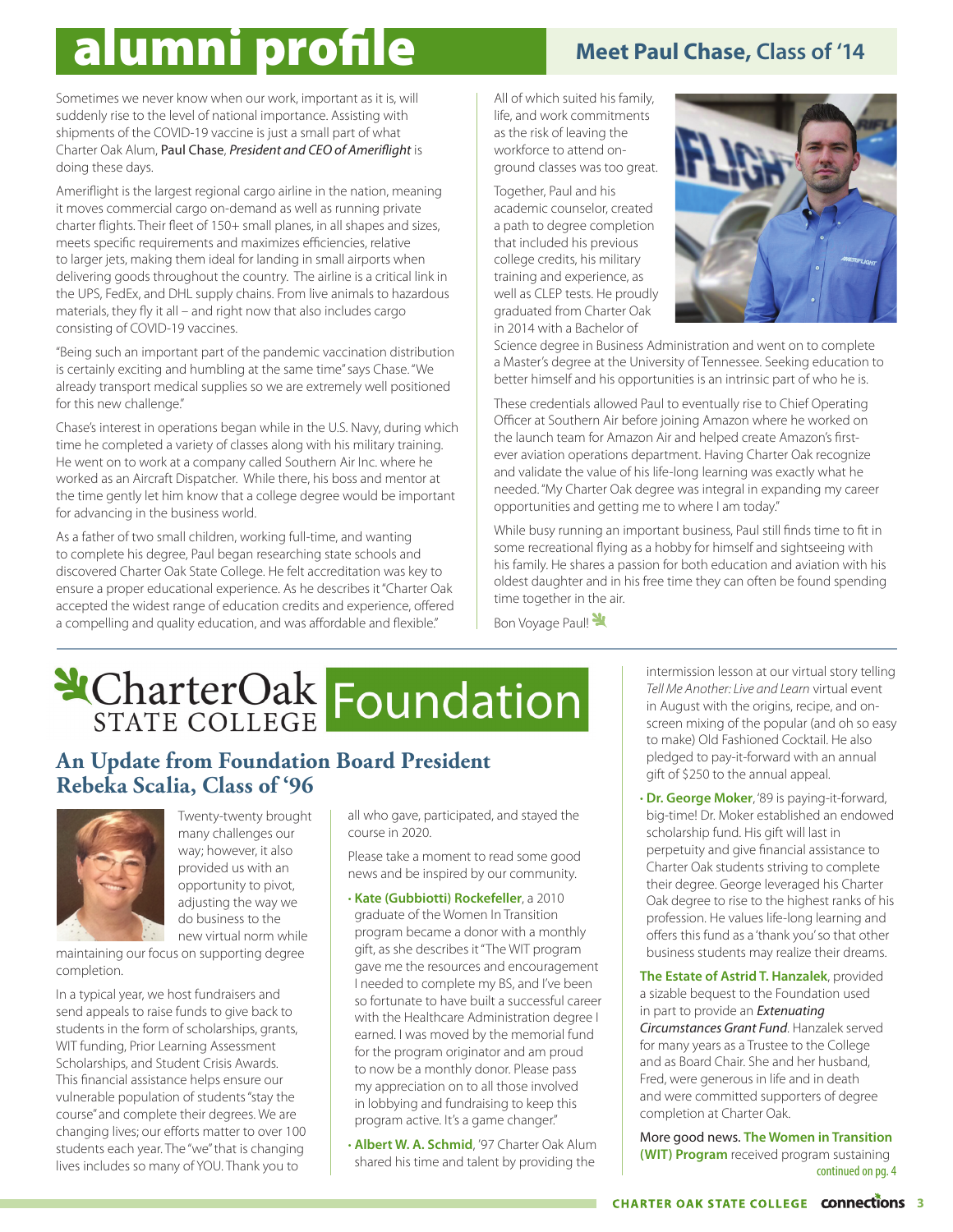# **alumni profile** Meet Paul Chase, Class of '14

Sometimes we never know when our work, important as it is, will suddenly rise to the level of national importance. Assisting with shipments of the COVID-19 vaccine is just a small part of what Charter Oak Alum, Paul Chase, *President and CEO of Ameriflight* is doing these days.

Ameriflight is the largest regional cargo airline in the nation, meaning it moves commercial cargo on-demand as well as running private charter flights. Their fleet of 150+ small planes, in all shapes and sizes, meets specific requirements and maximizes efficiencies, relative to larger jets, making them ideal for landing in small airports when delivering goods throughout the country. The airline is a critical link in the UPS, FedEx, and DHL supply chains. From live animals to hazardous materials, they fly it all – and right now that also includes cargo consisting of COVID-19 vaccines.

"Being such an important part of the pandemic vaccination distribution is certainly exciting and humbling at the same time" says Chase. "We already transport medical supplies so we are extremely well positioned for this new challenge."

Chase's interest in operations began while in the U.S. Navy, during which time he completed a variety of classes along with his military training. He went on to work at a company called Southern Air Inc. where he worked as an Aircraft Dispatcher. While there, his boss and mentor at the time gently let him know that a college degree would be important for advancing in the business world.

As a father of two small children, working full-time, and wanting to complete his degree, Paul began researching state schools and discovered Charter Oak State College. He felt accreditation was key to ensure a proper educational experience. As he describes it "Charter Oak accepted the widest range of education credits and experience, offered a compelling and quality education, and was affordable and flexible."

All of which suited his family, life, and work commitments as the risk of leaving the workforce to attend onground classes was too great.

Together, Paul and his academic counselor, created a path to degree completion that included his previous college credits, his military training and experience, as well as CLEP tests. He proudly graduated from Charter Oak in 2014 with a Bachelor of



Science degree in Business Administration and went on to complete a Master's degree at the University of Tennessee. Seeking education to better himself and his opportunities is an intrinsic part of who he is.

These credentials allowed Paul to eventually rise to Chief Operating Officer at Southern Air before joining Amazon where he worked on the launch team for Amazon Air and helped create Amazon's firstever aviation operations department. Having Charter Oak recognize and validate the value of his life-long learning was exactly what he needed. "My Charter Oak degree was integral in expanding my career opportunities and getting me to where I am today."

While busy running an important business, Paul still finds time to fit in some recreational flying as a hobby for himself and sightseeing with his family. He shares a passion for both education and aviation with his oldest daughter and in his free time they can often be found spending time together in the air.

Bon Voyage Paul!

# <sup>2</sup>CharterOak Foundation

## **An Update from Foundation Board President Rebeka Scalia, Class of '96**



Twenty-twenty brought many challenges our way; however, it also provided us with an opportunity to pivot, adjusting the way we do business to the new virtual norm while

maintaining our focus on supporting degree completion.

In a typical year, we host fundraisers and send appeals to raise funds to give back to students in the form of scholarships, grants, WIT funding, Prior Learning Assessment Scholarships, and Student Crisis Awards. This financial assistance helps ensure our vulnerable population of students "stay the course" and complete their degrees. We are changing lives; our efforts matter to over 100 students each year. The "we" that is changing lives includes so many of YOU. Thank you to

all who gave, participated, and stayed the course in 2020.

Please take a moment to read some good news and be inspired by our community.

- **Kate (Gubbiotti) Rockefeller**, a 2010 graduate of the Women In Transition program became a donor with a monthly gift, as she describes it "The WIT program gave me the resources and encouragement I needed to complete my BS, and I've been so fortunate to have built a successful career with the Healthcare Administration degree I earned. I was moved by the memorial fund for the program originator and am proud to now be a monthly donor. Please pass my appreciation on to all those involved in lobbying and fundraising to keep this program active. It's a game changer."
- **Albert W. A. Schmid**, '97 Charter Oak Alum shared his time and talent by providing the

intermission lesson at our virtual story telling *Tell Me Another: Live and Learn* virtual event in August with the origins, recipe, and onscreen mixing of the popular (and oh so easy to make) Old Fashioned Cocktail. He also pledged to pay-it-forward with an annual gift of \$250 to the annual appeal.

• **Dr. George Moker**, '89 is paying-it-forward, big-time! Dr. Moker established an endowed scholarship fund. His gift will last in perpetuity and give financial assistance to Charter Oak students striving to complete their degree. George leveraged his Charter Oak degree to rise to the highest ranks of his profession. He values life-long learning and offers this fund as a 'thank you' so that other business students may realize their dreams.

**The Estate of Astrid T. Hanzalek**, provided a sizable bequest to the Foundation used in part to provide an *Extenuating Circumstances Grant Fund*. Hanzalek served for many years as a Trustee to the College and as Board Chair. She and her husband, Fred, were generous in life and in death and were committed supporters of degree completion at Charter Oak.

More good news. **The Women in Transition (WIT) Program** received program sustaining continued on pg. 4